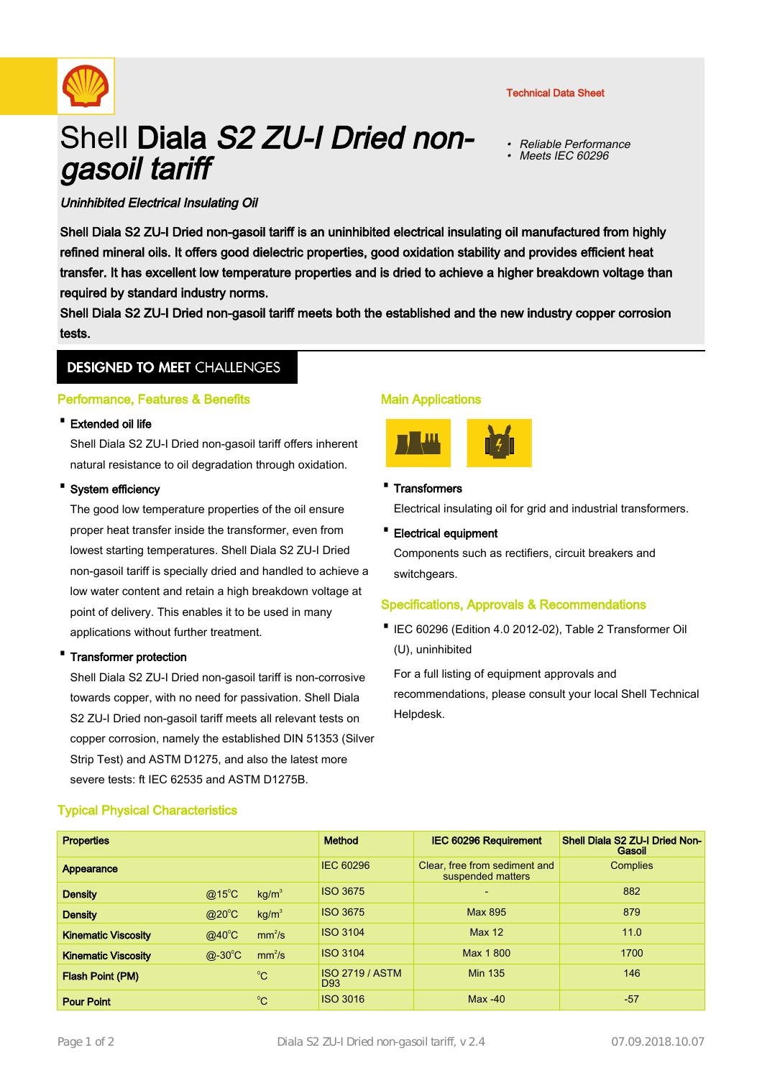

#### Technical Data Sheet

• Reliable Performance •Meets IEC 60296

# Shell Diala S2 ZU-I Dried nongasoil tariff

## Uninhibited Electrical Insulating Oil

Shell Diala S2 ZU-I Dried non-gasoil tariff is an uninhibited electrical insulating oil manufactured from highly refined mineral oils. It offers good dielectric properties, good oxidation stability and provides efficient heat transfer. It has excellent low temperature properties and is dried to achieve a higher breakdown voltage than required by standard industry norms.

Shell Diala S2 ZU-I Dried non-gasoil tariff meets both the established and the new industry copper corrosion tests.

## **DESIGNED TO MEET CHALLENGES**

## Performance, Features & Benefits

## · Extended oil life

Shell Diala S2 ZU-I Dried non-gasoil tariff offers inherent natural resistance to oil degradation through oxidation.

## System efficiency

The good low temperature properties of the oil ensure proper heat transfer inside the transformer, even from lowest starting temperatures. Shell Diala S2 ZU-I Dried non-gasoil tariff is specially dried and handled to achieve a low water content and retain a high breakdown voltage at point of delivery. This enables it to be used in many applications without further treatment.

## · Transformer protection

Shell Diala S2 ZU-I Dried non-gasoil tariff is non-corrosive towards copper, with no need for passivation. Shell Diala S2 ZU-I Dried non-gasoil tariff meets all relevant tests on copper corrosion, namely the established DIN 51353 (Silver Strip Test) and ASTM D1275, and also the latest more severe tests: ft IEC 62535 and ASTM D1275B.

## Main Applications



· Transformers

Electrical insulating oil for grid and industrial transformers.

· Electrical equipment

Components such as rectifiers, circuit breakers and switchgears.

## Specifications, Approvals & Recommendations

IEC 60296 (Edition 4.0 2012-02), Table 2 Transformer Oil · (U), uninhibited

For a full listing of equipment approvals and recommendations, please consult your local Shell Technical Helpdesk.

| <b>Properties</b>          |                 |                    | <b>Method</b>                             | <b>IEC 60296 Requirement</b>                       | Shell Diala S2 ZU-I Dried Non-<br>Gasoil |
|----------------------------|-----------------|--------------------|-------------------------------------------|----------------------------------------------------|------------------------------------------|
| Appearance                 |                 |                    | IEC 60296                                 | Clear, free from sediment and<br>suspended matters | <b>Complies</b>                          |
| <b>Density</b>             | $@15^{\circ}$ C | kg/m <sup>3</sup>  | <b>ISO 3675</b>                           | $\overline{\phantom{0}}$                           | 882                                      |
| <b>Density</b>             | $@20^{\circ}C$  | kg/m <sup>3</sup>  | <b>ISO 3675</b>                           | Max 895                                            | 879                                      |
| <b>Kinematic Viscosity</b> | $@40^{\circ}C$  | mm <sup>2</sup> /s | <b>ISO 3104</b>                           | <b>Max 12</b>                                      | 11.0                                     |
| <b>Kinematic Viscosity</b> | $@-30^{\circ}C$ | mm <sup>2</sup> /s | <b>ISO 3104</b>                           | Max 1800                                           | 1700                                     |
| Flash Point (PM)           |                 | $^{\circ}$ C       | <b>ISO 2719 / ASTM</b><br>D <sub>93</sub> | <b>Min 135</b>                                     | 146                                      |
| <b>Pour Point</b>          |                 | °C                 | <b>ISO 3016</b>                           | $Max -40$                                          | -57                                      |

## Typical Physical Characteristics